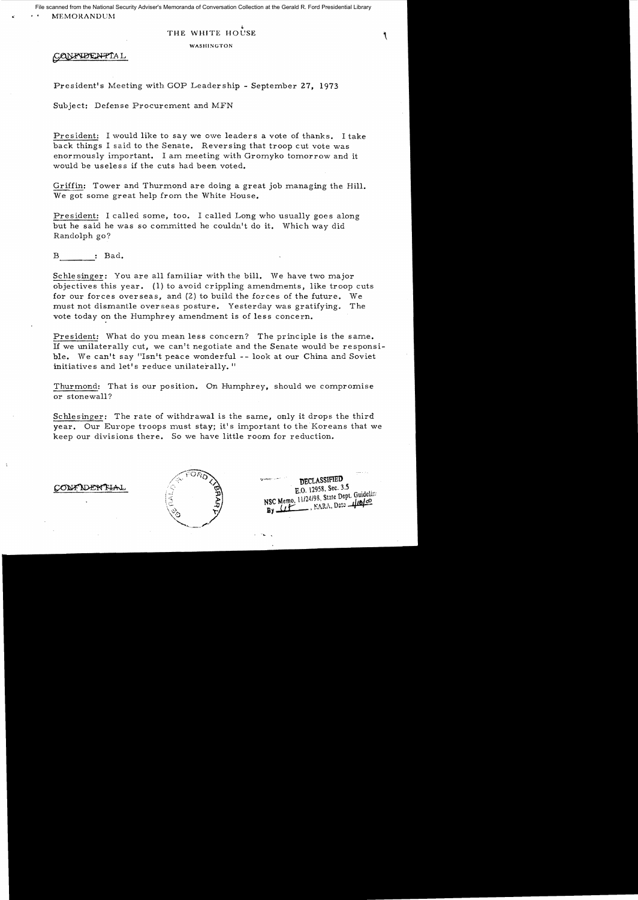# THE WHITE HOUSE

WASHINGTON

CONFIDENTIAL

President's Meeting with GOP Leadership - September 27, 1973

Subject: Defense Procurement and MFN

President: I would like to say we owe leaders a vote of thanks. I take back things I said to the Senate. Reversing that troop cut vote was enormously important. I am meeting with Gromyko tomorrow and it would be useless if the cuts had been voted.

Griffin: Tower and Thurmond are doing a great job managing the Hill. We got some great help from the White House.

President: I called some, too. I called Long who usually goes along but he said he was so committed he couldn't do it. Which way did Randolph go?

----  $B \longrightarrow$  : Bad.

Schlesinger: You are all familiar with the bill. We have two major objectives this year. (I) to avoid crippling amendments, like troop cuts for our forces overseas, and (2) to build the forces of the future. We must not dismantle overseas posture. Yesterday was gratifying. The vote today on the Humphrey amendment is of less concern.

President: What do you mean less concern? The principle is the same. If we unilaterally cut, we can't negotiate and the Senate would be responsi ble. We can't say "Isn't peace wonderful -- look at our China and Soviet initiatives and let's reduce unilaterally."

Thurmond: That is our position. On Humphrey, should we compromise or stonewall?

Schlesinger: The rate of withdrawal is the same, only it drops the third year. Our Europe troops must stay; it's important to the Koreans that we keep our divisions there. So we have little room for reduction.



DECLASSIFIED E.O. 12958, Sec. 3.5 E.O. 12956, Scot. St.<br>NSC Memo, 11/24/98, State Dept. Guideline  $\frac{1}{2}$ , NARA, Date  $\frac{1}{4}$ By LLE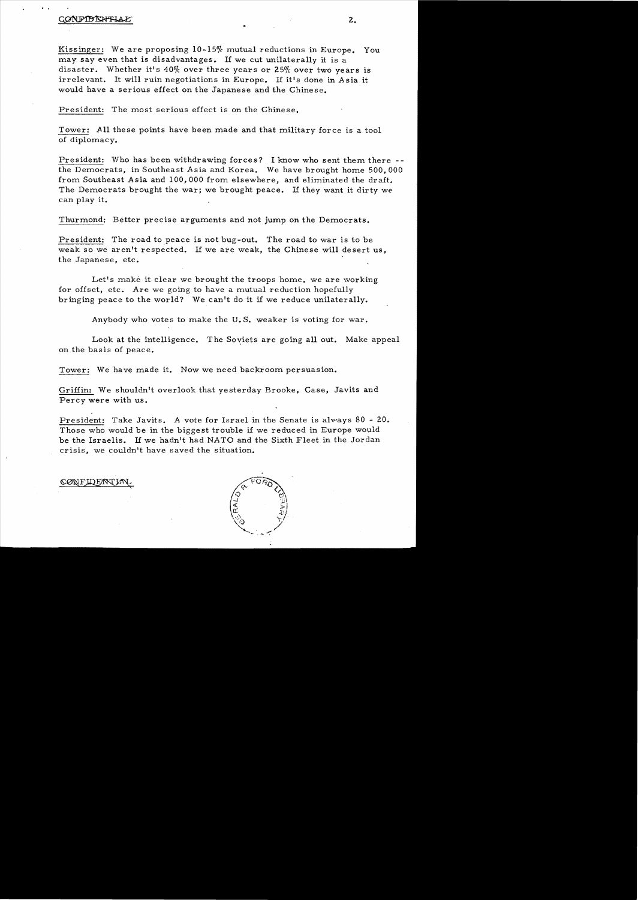# PARAHILA

Kissinger: We are proposing 10-15% mutual reductions in Europe. You may say even that is disadvantages. If we cut unilaterally it is a disaster. Whether it's 40% over three years or 25% over two years is irrelevant. It will ruin negotiations in Europe. If it's done in Asia it would have a serious effect on the Japanese and the Chinese.

President: The most serious effect is on the Chinese.

Tower: All these points have been made and that military force is a tool of diplomacy.

President: Who has been withdrawing forces? I know who sent them there the Democrats, in Southeast Asia and Korea. We have brought home 500,000 from Southeast Asia and 100,000 from elsewhere, and eliminated the draft. The Democrats brought the war; we brought peace. If they want it dirty we can play it.

Thurmond: Better precise arguments and not jump on the Democrats.

President: The road to peace is not bug-out. The road to war is to be weak so we aren't respected. If we are weak, the Chinese will desert us, the Japanese, etc.

Let's make it clear we brought the troops home, we are working for offset, etc. Are we going to have a mutual reduction hopefully bringing peace to the world? We can't do it if we reduce unilaterally.

Anybody who votes to make the U. S. weaker is voting for war.

Look at the intelligence. The Soviets are going all out. Make appeal on the basis of peace.

Tower: We have made it. Now we need backroom persuasion.

Griffin: We shouldn't overlook that yesterday Brooke, Case, Javits and Percy were with us.

President: Take Javits. A vote for Israel in the Senate is always 80 - 20. Those who would be in the biggest trouble if we reduced in Europe would be the Israelis. If we hadn't had NATO and the Sixth Fleet in the Jordan crisis, we couldn't have saved the situation.

### CONFIDEMY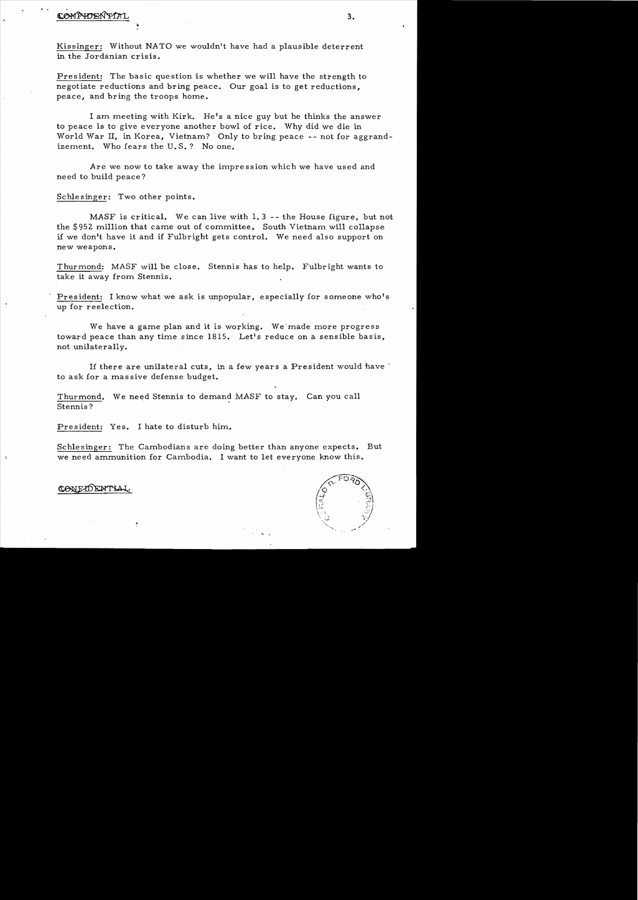# CONFIDENTAL 3.

Kissinger: Without NATO we wouldn't have had a plausible deterrent in the Jordanian crisis.

President: The basic que stion is whether we will have the strength to negotiate reductions and bring peace. Our goal is to get reductions, peace, and bring the troops home.

I am meeting with Kirk. He's a nice guy but he thinks the answer to peace is to give everyone another bowl of rice. Why did we die in World War II, in Korea, Vietnam? Only to bring peace -- not for aggrandizement. Who fears the U.S.? No one.

Are we now to take away the impression which we have used and need to build peace?

Schlesinger: Two other points.

MASF is critical. We can live with 1. 3 -- the House figure, but not the \$952 million that came out of committee. South Vietnam will collapse if we don't have it and if Fulbright gets control. We need also support on new weapons.

Thurmond: MASF will be close. Stennis has to help. Fulbright wants to take it away from Stennis.

President: I know what we ask is unpopular, especially for someone who's up for reelection.

We have a game plan and it is working. We made more progress toward peace than any time since 1815. Let's reduce on a sensible basis, not unilaterally.

If there are unilateral cuts, in a few years a President would have' to ask for a mas sive defense budget.

Thurmond. We need Stennis to demand MASF to stay. Can you call Stennis?

President: Yes. I hate to disturb him.

Schlesinger: The Cambodians are doing better than anyone expects. But we need ammunition for Cambodia. I want to let everyone know this.



# CONEXPENTIAL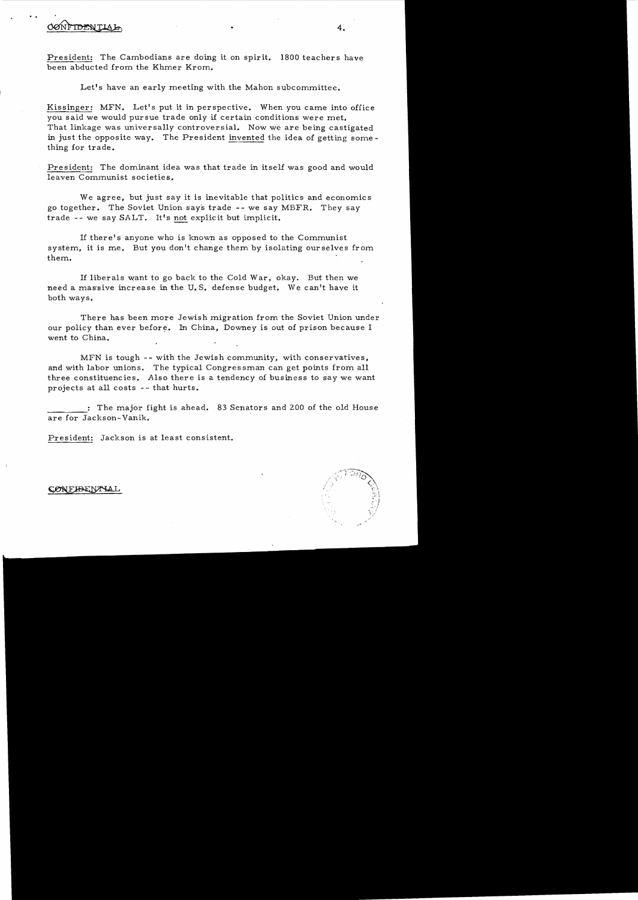# ·. \_ **4.**

President: The Cambodians are doing it on spirit. 1800 teachers have been abducted from the Khmer Krom.

Let's have an early meeting with the Mahon subcommittee.

Kissinger: MFN. Let's put it in perspective. When you came into office you said we would pursue trade only if certain conditions were met. That linkage was universally controversial. Now we are being castigated in just the opposite way. The President invented the idea of getting something for trade.

President: The dominant idea was that trade in itself was good and would leaven Communist societies.

We agree, but just say it is inevitable that politics and economic s go together. The Soviet Union say's trade - - we say MBFR. They say trade - - we say *SA* LT. It's not explicit but implicit.

If there's anyone who is known as opposed to the Communist system, it is me. But you don't change them by isolating ourselves from them.

If liberals want to go back to the Cold War, okay. But then we need a massive increase in the U.S. defense budget. We can't have it both ways.

There has been more Jewish migration from the Soviet Union under our policy than ever before. In China, Downey is out of prison because I went to China.

MFN is tough -- with the Jewish community, with conservatives, and with labor unions. The typical Congressman can get points from all three constituencies. Also there is a tendency of business to say we want projects at all costs -- that hurts.

: The major fight is ahead. 83 Senators and 200 of the old House are for Jackson-Yanik.

President: Jackson is at least consistent.

# CONFIBENTIAL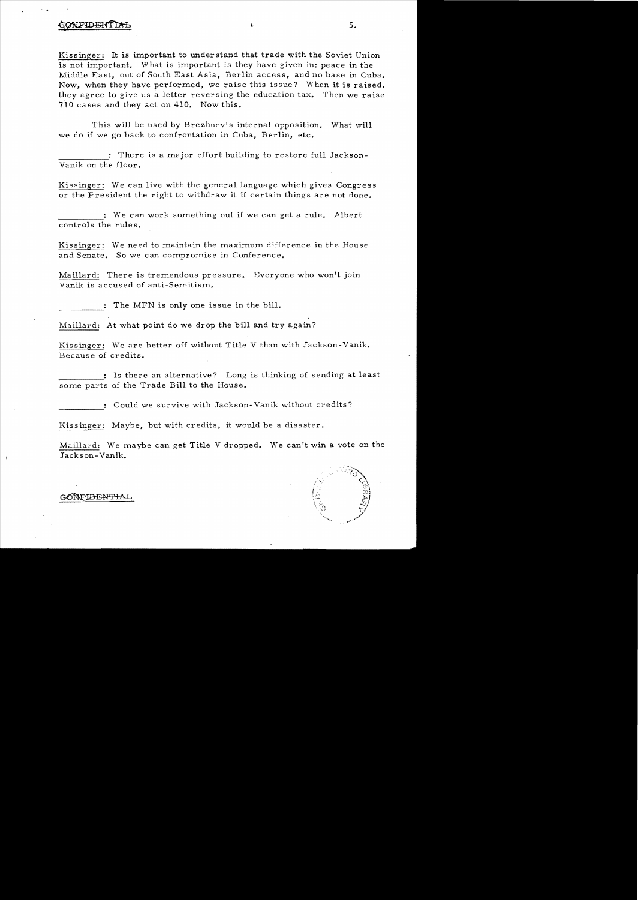# CONFIDENTIA

Kissinger: It is important to understand that trade with the Soviet Union is not important. What is important is they have given in: peace in the Middle East, out of South East *A* sia, Berlin access, and no base in Cuba. Now, when they have performed, we raise this issue? When it is raised, they agree to give us a letter reversing the education tax. Then we raise 710 cases and they act on 410. Now this.

This will be used by Brezhnev's internal opposition. What will we do if we go back to confrontation in Cuba, Berlin, etc.

There is a major effort building to restore full Jackson-Yanik on the floor.

Kissinger: We can live with the general language which gives Congress or the Fresident the right to withdraw it if certain things are not done.

We can work something out if we can get a rule. Albert controls the rules.

Kissinger: We need to maintain the maximum difference in the House and Senate. So we can compromise in Conference.

Maillard: There is tremendous pressure. Everyone who won't join Yanik is accused of anti-Semitism.

The MFN is only one issue in the bill.

Maillard: At what point do we drop the bill and try again?

Kissinger: We are better off without Title V than with Jackson- Yanik. Because of credits.

: Is there an alternative? Long is thinking of sending at least some parts of the Trade Bill to the House.

Could we survive with Jackson- Yanik without credits?

Kissinger: Maybe, but with credits, it would be a disaster.

Maillard: We maybe can get Title V dropped. We can't win a vote on the Jackson-Yanik.



# GONFIDENTIAL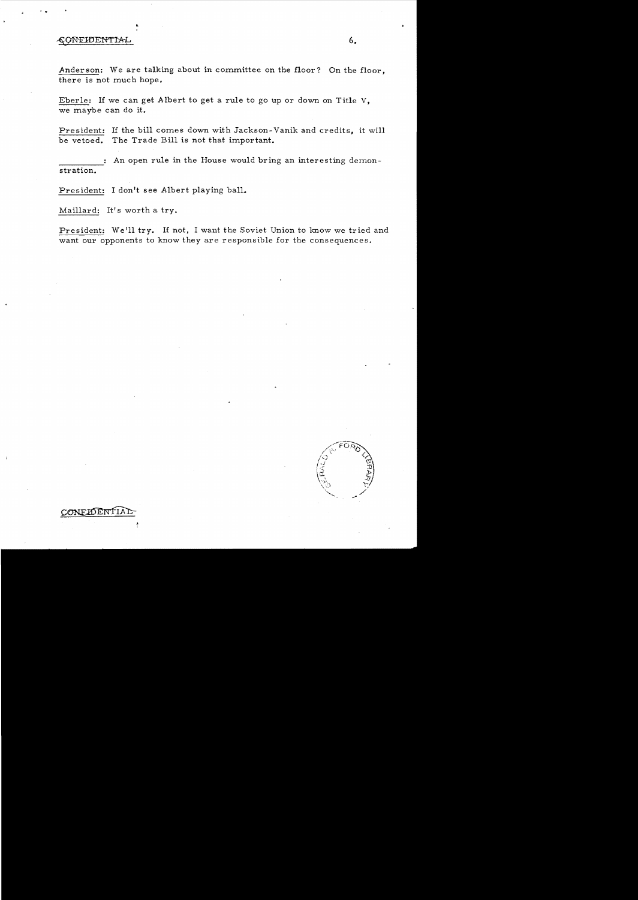# CONFIDENTIAL

·.

Anderson: We are talking about in committee on the floor? On the floor, there is not much hope.

Eberle: If we can get Albert to get a rule to go up or down on Title V, we maybe can do it.

President: If the bill comes down with Jackson- Vanik and credits, it will be vetoed. The Trade Bill is not that important.

An open rule in the House would bring an interesting demonstration.

President: I don't see Albert playing ball.

Maillard: It's worth a try.

CONELDENTI.

President: We'll try. If not, I want the Soviet Union to know we tried and want our opponents to know they are responsible for the consequences.

6.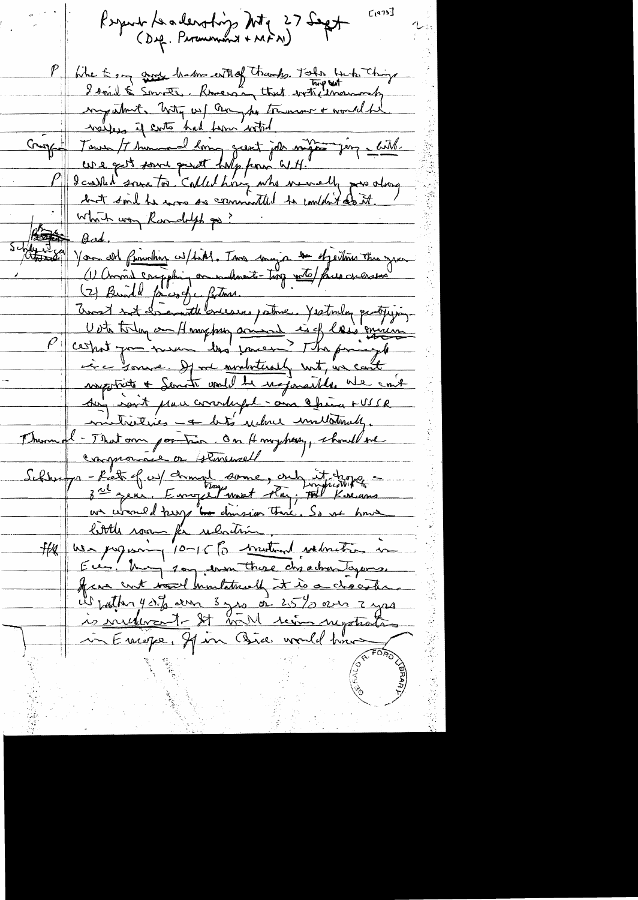$L$ 1973] Keyend Leadership Mtg 27 Sept Whe to any group hadro estable thanks. Tothe think things my what, hoty us f anythe treasure + would be welfers if sorts had form with Crippe / Jerus /7 human de long great job might jer a litt cure quit some point halp from GIH." P I carre to called hong who newelly pass along <u>Which way Randolph po?</u>  $\beta$ ad, help i sa all finishing w/field. Tom major de depoiting this you (1) Crossis competing or indirect-trop with faces currentes (2) Buill faict de fature. P certain compris ainsi is of las's quince is a younge. If we <u>ministerally</u> not, we can't inspirat + Senate und be nogonalles we cant du j joit prou courtuful - ann le fin a FUSSR mitritives - a lité reclame immediation Thurmal - That own pointing, On Hmyheary, chould sul compromie or simensell Schhungen-Bat of w) demand some, only it dropper little room for relation. He us popular 10-15 to motion returns in Eur. May 10g won these dy advantagemes. france cont would huntatment it is a chocother Wrother 40. 2 am 3 yes on 25% over 7 yes in Emope, If in Bia would time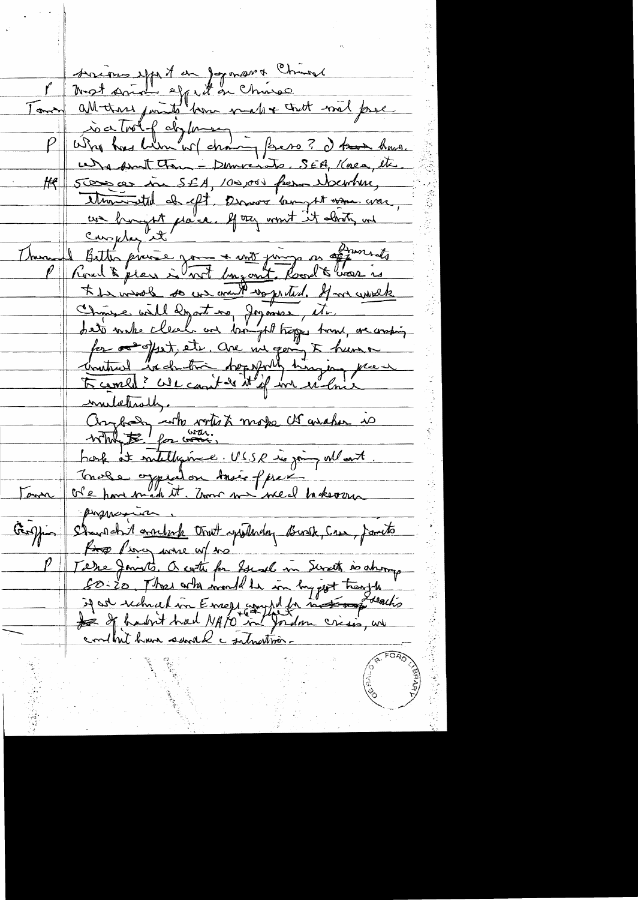socions up of an joyman & Church Most smoth eggs it on chinese Tour all than points born make that mil proc is a trol of dig known - forces ? I took how. u) a sunt tour - Democrats. SEA, Kaen, etc Stere er in SEA, 100,000 frem bernhur, <u>HR</u> thousand of eft. Down bought was war un hungst place. If try won't it abouts un I Bitten provie jan + met juin en offerentite \* In mool so we with wapreted. If we work Chinese will depart no, Joyannes, etc. for a fest, etc. are me going to human mulatisty. Changeday with write & moto che avalor is  $\mathcal{B}$  for war. hork at militagement. USSR is joing when to Trois oppealon tout freme takeour Town progressive Standahrt anderk trut spilledag Busk, Cree, fanto for Piercy were uf to Terre Jan 15. Outi for Sude in Sweet is ahong 50-20, Those who would be in bygget trangle if are rechel in Emers and In the tomogents conthit have saved c submattion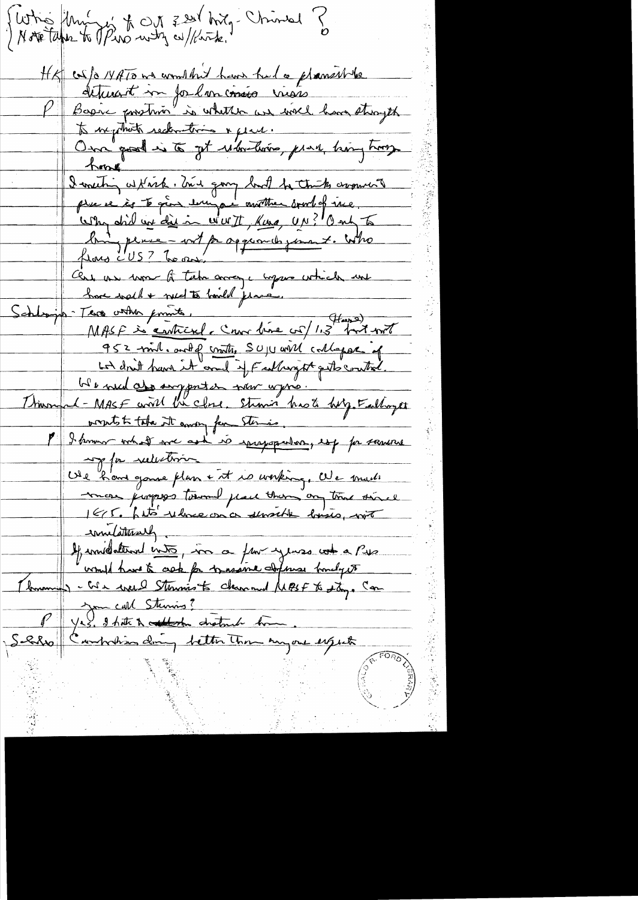Swhis University of 221 hrigh China ? HK cos/o 14 ATO we wondered have had a planshope detruicit me formements viens Bagic prostrio is whether an well have stroyth to me prove une section & plant. bing perse-ort pagement jours. Who Cert un run la tebrance, upon which une Schlappe Terre voter printe,<br>Schlappe Terre voter printe, (novelise vol/1,3 prit voter 952 mil. and of contre SUJU will collapse of ble need also importer now wyno. Thursd-MASF will be close. Straw has to help Falloyet properts to take it andry for Stermas. P I know what we ask to sprayopalor, est for somme my for reduction Vie h'ave game plun + it is working, We made mon juryers tournel place them any time since<br>165. Let's deliver on a sensible lossis, with Invitation une pour estate a Presidente de la Communité de la mainte de la mainte de la mainte de la mainte de P Ves. 9 hits à cettode chaten de Comme expedit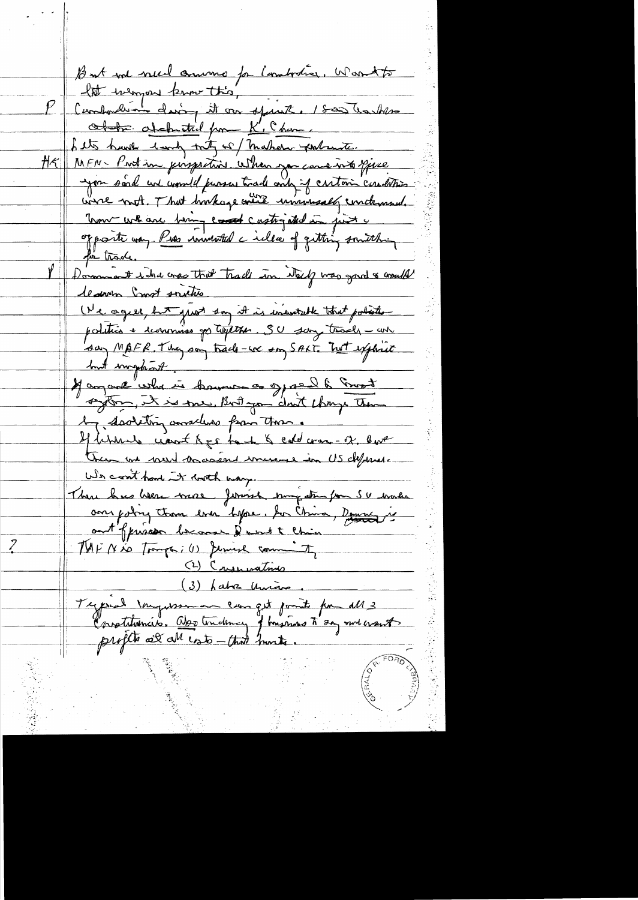But not need commo for lamborar, Warriots let weapon know this P Cambodian doing it on spirit. 1800 hashes Other obehatrich from K', Chan, Let's have tend trity of maker portante. HR MFN- Protien porpretion when you can error piece you sord un would jurise trade only if critain conditions were not. That hockage wire universaly continued. Université de la vie de la de la de la finite opposite van Pier immental cille of qutting something for trade. Dommant i tra cross that trade in Nech was good & cometal <u>leanen Inst soutie.</u> (Ne agent, but just son it is ineverable that politic politics + commiss go topt the SU say trade an say MAFR. They say track-we say SALT. Tut explaint but implient. Janvier de propre de la formation de la formation septem, it is me, But you don't change them by devoluting anselence from these. If behaves want beg to be & cold cross-ox, but trem me vous vous mont immer in US dépende. We cont had it with way. There has been more formet somfatte pour 50 miles ans policy than ever "before. In China, Demand is ant'oppuration because & ment to Chain Z TUFNio Tomps; (1) Jennise commit (2) Crymoratines (3) habre União. Tegerial Inquession compt point pour all 3 Crostiturio. Objetimento y husings to say me want profito all all esto-that hunts.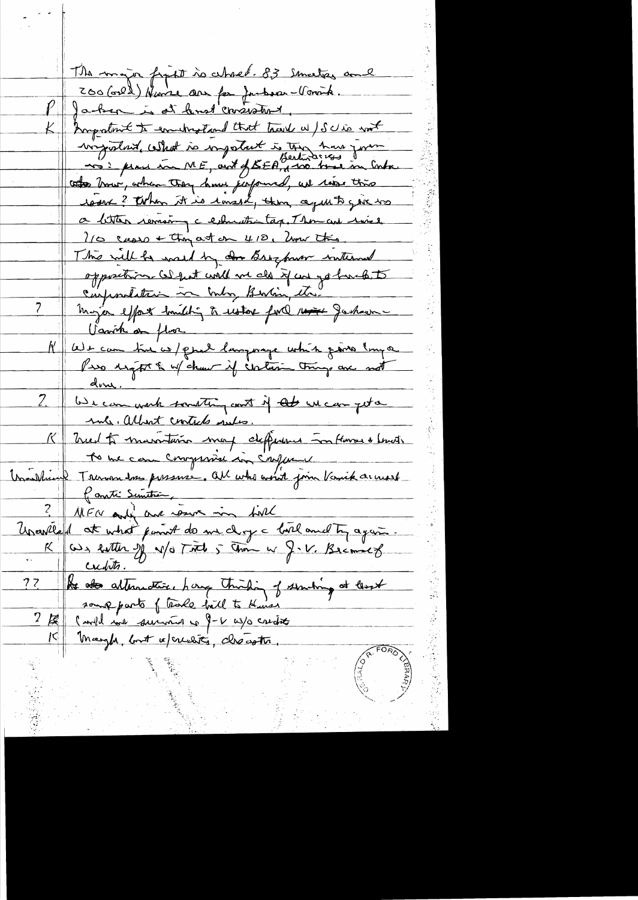The major fight is wheel. IS smalks and 200 (orel) Hume are for Jubour-Voront. PJacken is at lend crossolant. Inngrations to encountered that track a / Schie mot virgislant, cellent is important is the how form toto trous, when they have jupoured, we took this radent? When it is remark, then agent 5 pic to a letter remain a columnistage Thomas wiee  $2/0$  cases + thoughout on 418. Univ this This will be want by our Bros pour interned oppositions (a) put will we als if we go touch to Varish de fluor N'avec commentant es/quel language cotris poins (myse done. <u>0</u> 2. We can write someting and if at un can get a me. albert contects meter. K Med to maritain moy déférence in House & Levoir MFN and no resume in first Usavila 1 at what paint do me dog a bord and ty again.  $\frac{c_{x\text{d}}}{\pi}$ 2 le des attenutiers pour touching of sembing at least  $72$ Marghe, bout a crueit de chécotte.